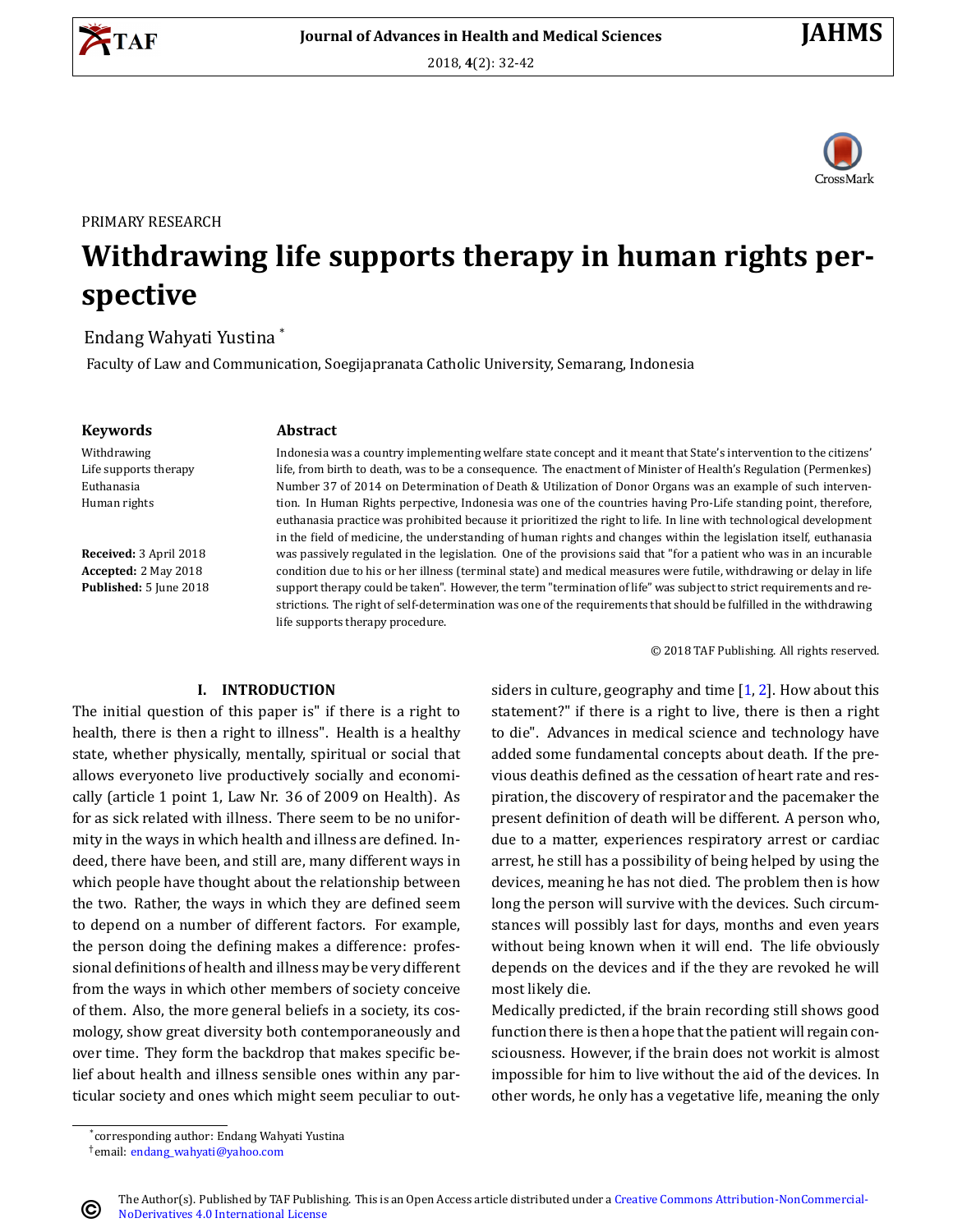





#### PRIMARY RESEARCH

# **Withdrawing life supports therapy in human rights perspective**

## Endang Wahyati Yustina \*

Faculty of Law and Communication, Soegijapranata Catholic University, Semarang, Indonesia

#### **Keywords Abstract**

Withdrawing Life supports therapy Euthanasia Human rights

**Received:** 3 April 2018 **Accepted:** 2 May 2018 **Published:** 5 June 2018

Indonesia was a country implementing welfare state concept and it meant that State's intervention to the citizens' life, from birth to death, was to be a consequence. The enactment of Minister of Health's Regulation (Permenkes) Number 37 of 2014 on Determination of Death & Utilization of Donor Organs was an example of such intervention. In Human Rights perpective, Indonesia was one of the countries having Pro-Life standing point, therefore, euthanasia practice was prohibited because it prioritized the right to life. In line with technological development in the field of medicine, the understanding of human rights and changes within the legislation itself, euthanasia was passively regulated in the legislation. One of the provisions said that "for a patient who was in an incurable condition due to his or her illness (terminal state) and medical measures were futile, withdrawing or delay in life support therapy could be taken". However, the term "termination of life" was subject to strict requirements and restrictions. The right of self-determination was one of the requirements that should be fulfilled in the withdrawing life supports therapy procedure.

© 2018 TAF Publishing. All rights reserved.

#### **I. INTRODUCTION**

The initial question of this paper is" if there is a right to health, there is then a right to illness". Health is a healthy state, whether physically, mentally, spiritual or social that allows everyoneto live productively socially and economically (article 1 point 1, Law Nr. 36 of 2009 on Health). As for as sick related with illness. There seem to be no uniformity in the ways in which health and illness are defined. Indeed, there have been, and still are, many different ways in which people have thought about the relationship between the two. Rather, the ways in which they are defined seem to depend on a number of different factors. For example, the person doing the defining makes a difference: professional definitions of health and illness may be very different from the ways in which other members of society conceive of them. Also, the more general beliefs in a society, its cosmology, show great diversity both contemporaneously and over time. They form the backdrop that makes specific belief about health and illness sensible ones within any particular society and ones which might seem peculiar to outsidersin culture, geography and time  $[1, 2]$  $[1, 2]$  $[1, 2]$  $[1, 2]$ . How about this statement?" if there is a right to live, there is then a right to die". Advances in medical science and technology have added some fundamental concepts about death. If the previous deathis defined as the cessation of heart rate and respiration, the discovery of respirator and the pacemaker the present definition of death will be different. A person who, due to a matter, experiences respiratory arrest or cardiac arrest, he still has a possibility of being helped by using the devices, meaning he has not died. The problem then is how long the person will survive with the devices. Such circumstances will possibly last for days, months and even years without being known when it will end. The life obviously depends on the devices and if the they are revoked he will most likely die.

Medically predicted, if the brain recording still shows good function there is then a hope that the patient will regain consciousness. However, if the brain does not workit is almost impossible for him to live without the aid of the devices. In other words, he only has a vegetative life, meaning the only

 $\odot$ 

<sup>\*</sup> corresponding author: Endang Wahyati Yustina †email: [endang\\_wahyati@yahoo.com](endang_wahyati@yahoo.com)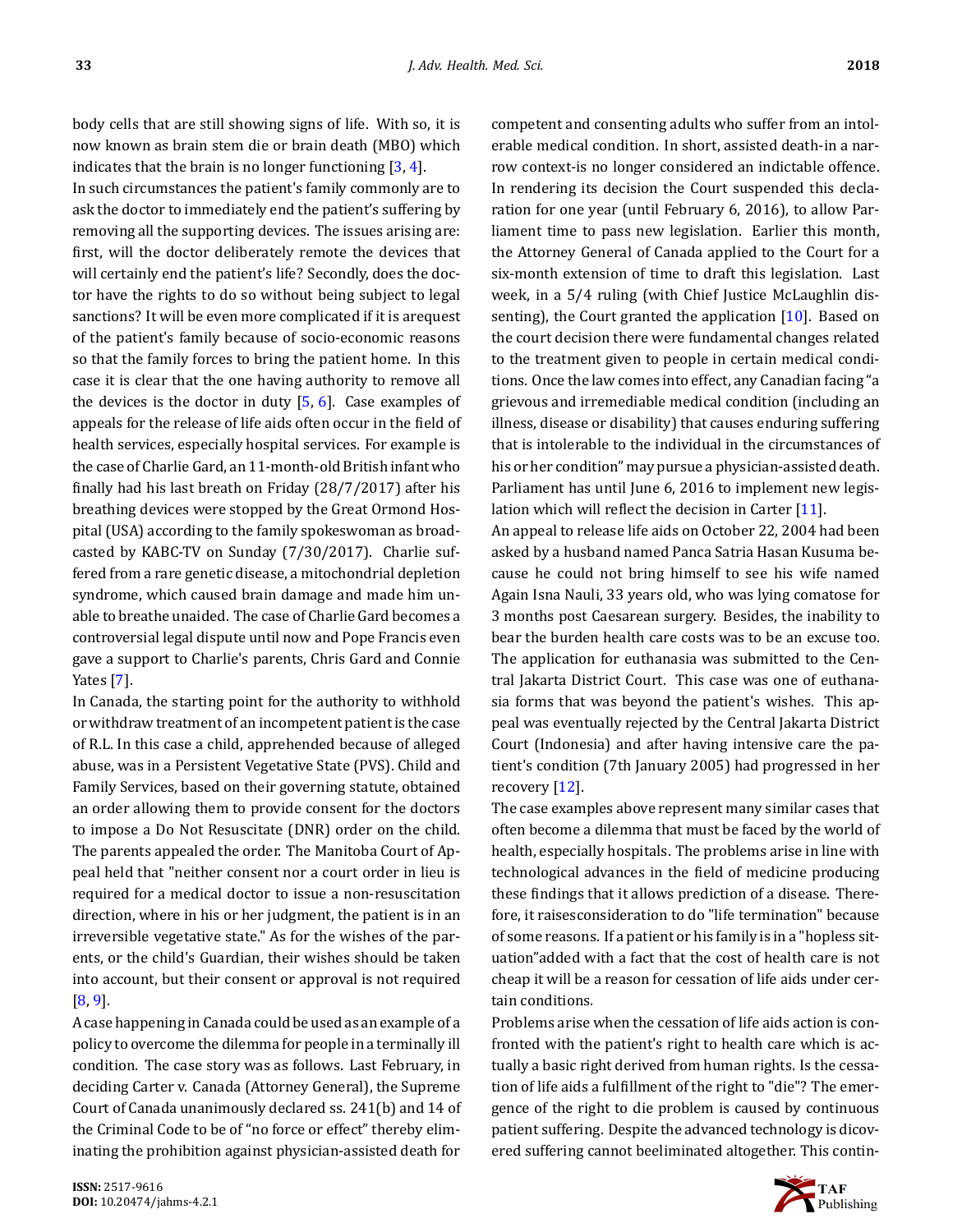body cells that are still showing signs of life. With so, it is now known as brain stem die or brain death (MBO) which indicates that the brain is no longer functioning  $[3, 4]$  $[3, 4]$ .

In such circumstances the patient's family commonly are to ask the doctor to immediately end the patient's suffering by removing all the supporting devices. The issues arising are: first, will the doctor deliberately remote the devices that will certainly end the patient's life? Secondly, does the doctor have the rights to do so without being subject to legal sanctions? It will be even more complicated if it is arequest of the patient's family because of socio-economic reasons so that the family forces to bring the patient home. In this case it is clear that the one having authority to remove all the devices is the doctor in duty  $[5, 6]$  $[5, 6]$  $[5, 6]$ . Case examples of appeals for the release of life aids often occur in the field of health services, especially hospital services. For example is the case of Charlie Gard, an 11-month-old British infant who finally had his last breath on Friday  $(28/7/2017)$  after his breathing devices were stopped by the Great Ormond Hospital (USA) according to the family spokeswoman as broadcasted by KABC-TV on Sunday (7/30/2017). Charlie suffered from a rare genetic disease, a mitochondrial depletion syndrome, which caused brain damage and made him unable to breathe unaided. The case of Charlie Gard becomes a controversial legal dispute until now and Pope Francis even gave a support to Charlie's parents, Chris Gard and Connie Yates [\[7\]](#page-10-6).

In Canada, the starting point for the authority to withhold or withdraw treatment of an incompetent patient is the case of R.L. In this case a child, apprehended because of alleged abuse, was in a Persistent Vegetative State (PVS). Child and Family Services, based on their governing statute, obtained an order allowing them to provide consent for the doctors to impose a Do Not Resuscitate (DNR) order on the child. The parents appealed the order. The Manitoba Court of Appeal held that "neither consent nor a court order in lieu is required for a medical doctor to issue a non-resuscitation direction, where in his or her judgment, the patient is in an irreversible vegetative state." As for the wishes of the parents, or the child's Guardian, their wishes should be taken into account, but their consent or approval is not required [\[8,](#page-10-7) [9](#page-10-8)].

A case happening in Canada could be used as an example of a policy to overcome the dilemma for people in a terminally ill condition. The case story was as follows. Last February, in deciding Carter v. Canada (Attorney General), the Supreme Court of Canada unanimously declared ss. 241(b) and 14 of the Criminal Code to be of "no force or effect" thereby eliminating the prohibition against physician-assisted death for competent and consenting adults who suffer from an intolerable medical condition. In short, assisted death-in a narrow context-is no longer considered an indictable offence. In rendering its decision the Court suspended this declaration for one year (until February 6, 2016), to allow Parliament time to pass new legislation. Earlier this month, the Attorney General of Canada applied to the Court for a six-month extension of time to draft this legislation. Last week, in a 5/4 ruling (with Chief Justice McLaughlin dis-senting), the Court granted the application [\[10](#page-10-9)]. Based on the court decision there were fundamental changes related to the treatment given to people in certain medical conditions. Once the law comes into effect, any Canadian facing "a grievous and irremediable medical condition (including an illness, disease or disability) that causes enduring suffering that is intolerable to the individual in the circumstances of his or her condition" may pursue a physician-assisted death. Parliament has until June 6, 2016 to implement new legislationwhich will reflect the decision in Carter  $[11]$  $[11]$ .

An appeal to release life aids on October 22, 2004 had been asked by a husband named Panca Satria Hasan Kusuma because he could not bring himself to see his wife named Again Isna Nauli, 33 years old, who was lying comatose for 3 months post Caesarean surgery. Besides, the inability to bear the burden health care costs was to be an excuse too. The application for euthanasia was submitted to the Central Jakarta District Court. This case was one of euthanasia forms that was beyond the patient's wishes. This appeal was eventually rejected by the Central Jakarta District Court (Indonesia) and after having intensive care the patient's condition (7th January 2005) had progressed in her recovery[[12\]](#page-10-11).

The case examples above represent many similar cases that often become a dilemma that must be faced by the world of health, especially hospitals. The problems arise in line with technological advances in the field of medicine producing these findings that it allows prediction of a disease. Therefore, it raisesconsideration to do "life termination" because of some reasons. If a patient or his family is in a "hopless situation"added with a fact that the cost of health care is not cheap it will be a reason for cessation of life aids under certain conditions.

Problems arise when the cessation of life aids action is confronted with the patient's right to health care which is actually a basic right derived from human rights. Is the cessation of life aids a fulfillment of the right to "die"? The emergence of the right to die problem is caused by continuous patient suffering. Despite the advanced technology is dicovered suffering cannot beeliminated altogether. This contin-

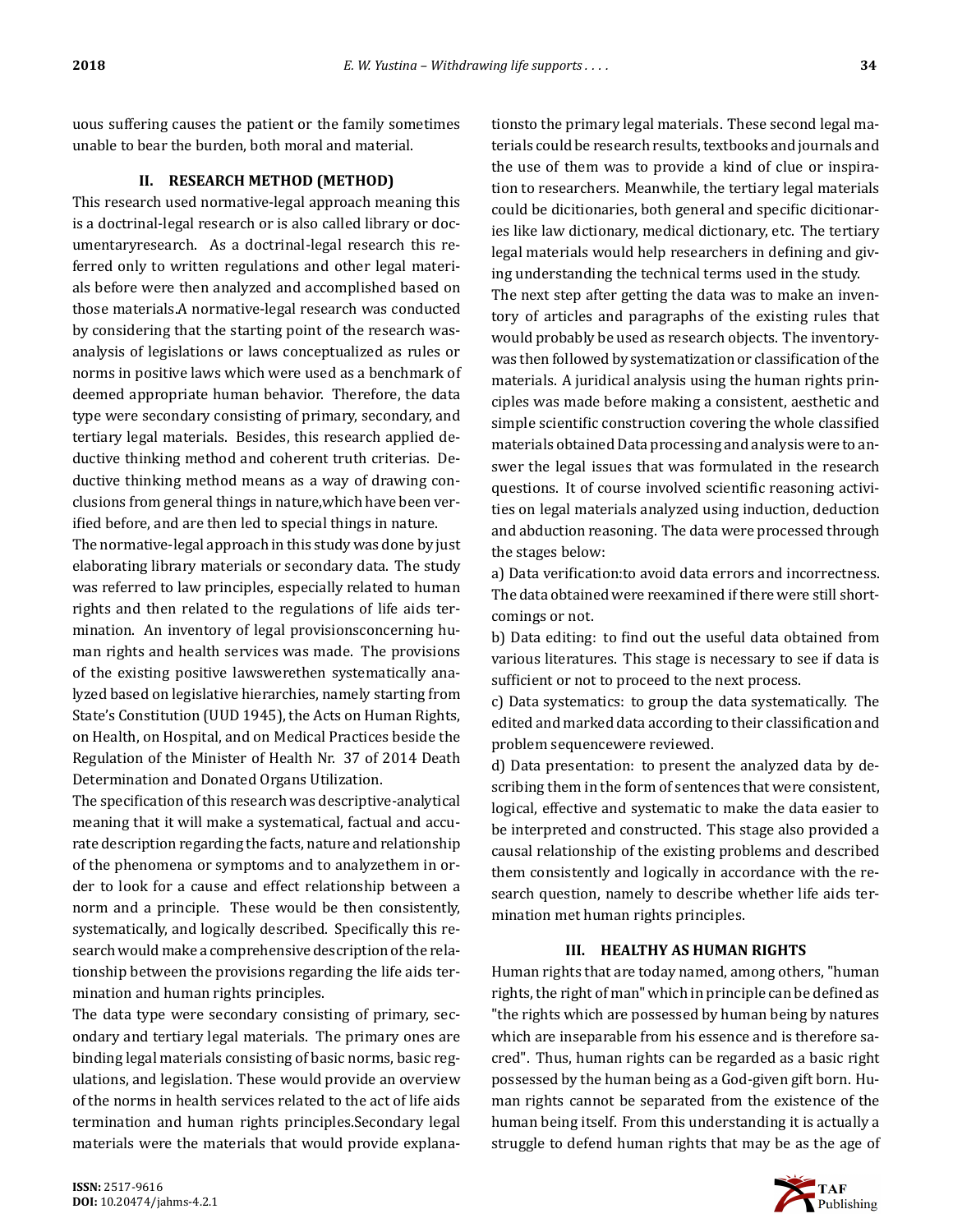uous suffering causes the patient or the family sometimes unable to bear the burden, both moral and material.

#### **II. RESEARCH METHOD (METHOD)**

This research used normative-legal approach meaning this is a doctrinal-legal research or is also called library or documentaryresearch. As a doctrinal-legal research this referred only to written regulations and other legal materials before were then analyzed and accomplished based on those materials.A normative-legal research was conducted by considering that the starting point of the research wasanalysis of legislations or laws conceptualized as rules or norms in positive laws which were used as a benchmark of deemed appropriate human behavior. Therefore, the data type were secondary consisting of primary, secondary, and tertiary legal materials. Besides, this research applied deductive thinking method and coherent truth criterias. Deductive thinking method means as a way of drawing conclusions from general things in nature,which have been verified before, and are then led to special things in nature.

The normative-legal approach in this study was done by just elaborating library materials or secondary data. The study was referred to law principles, especially related to human rights and then related to the regulations of life aids termination. An inventory of legal provisionsconcerning human rights and health services was made. The provisions of the existing positive lawswerethen systematically analyzed based on legislative hierarchies, namely starting from State's Constitution (UUD 1945), the Acts on Human Rights, on Health, on Hospital, and on Medical Practices beside the Regulation of the Minister of Health Nr. 37 of 2014 Death Determination and Donated Organs Utilization.

The specification of this research was descriptive-analytical meaning that it will make a systematical, factual and accurate description regarding the facts, nature and relationship of the phenomena or symptoms and to analyzethem in order to look for a cause and effect relationship between a norm and a principle. These would be then consistently, systematically, and logically described. Specifically this research would make a comprehensive description of the relationship between the provisions regarding the life aids termination and human rights principles.

The data type were secondary consisting of primary, secondary and tertiary legal materials. The primary ones are binding legal materials consisting of basic norms, basic regulations, and legislation. These would provide an overview of the norms in health services related to the act of life aids termination and human rights principles.Secondary legal materials were the materials that would provide explanationsto the primary legal materials. These second legal materials could be research results, textbooks and journals and the use of them was to provide a kind of clue or inspiration to researchers. Meanwhile, the tertiary legal materials could be dicitionaries, both general and specific dicitionaries like law dictionary, medical dictionary, etc. The tertiary legal materials would help researchers in defining and giving understanding the technical terms used in the study. The next step after getting the data was to make an inventory of articles and paragraphs of the existing rules that would probably be used as research objects. The inventorywas then followed by systematization or classification of the materials. A juridical analysis using the human rights principles was made before making a consistent, aesthetic and simple scientific construction covering the whole classified materials obtained Data processing and analysis were to answer the legal issues that was formulated in the research questions. It of course involved scientific reasoning activities on legal materials analyzed using induction, deduction and abduction reasoning. The data were processed through the stages below:

a) Data verification: to avoid data errors and incorrectness. The data obtained were reexamined if there were still shortcomings or not.

b) Data editing: to find out the useful data obtained from various literatures. This stage is necessary to see if data is sufficient or not to proceed to the next process.

c) Data systematics: to group the data systematically. The edited and marked data according to their classification and problem sequencewere reviewed.

d) Data presentation: to present the analyzed data by describing them in the form of sentences that were consistent, logical, effective and systematic to make the data easier to be interpreted and constructed. This stage also provided a causal relationship of the existing problems and described them consistently and logically in accordance with the research question, namely to describe whether life aids termination met human rights principles.

#### **III. HEALTHY AS HUMAN RIGHTS**

Human rights that are today named, among others, "human rights, the right of man" which in principle can be defined as "the rights which are possessed by human being by natures which are inseparable from his essence and is therefore sacred". Thus, human rights can be regarded as a basic right possessed by the human being as a God-given gift born. Human rights cannot be separated from the existence of the human being itself. From this understanding it is actually a struggle to defend human rights that may be as the age of

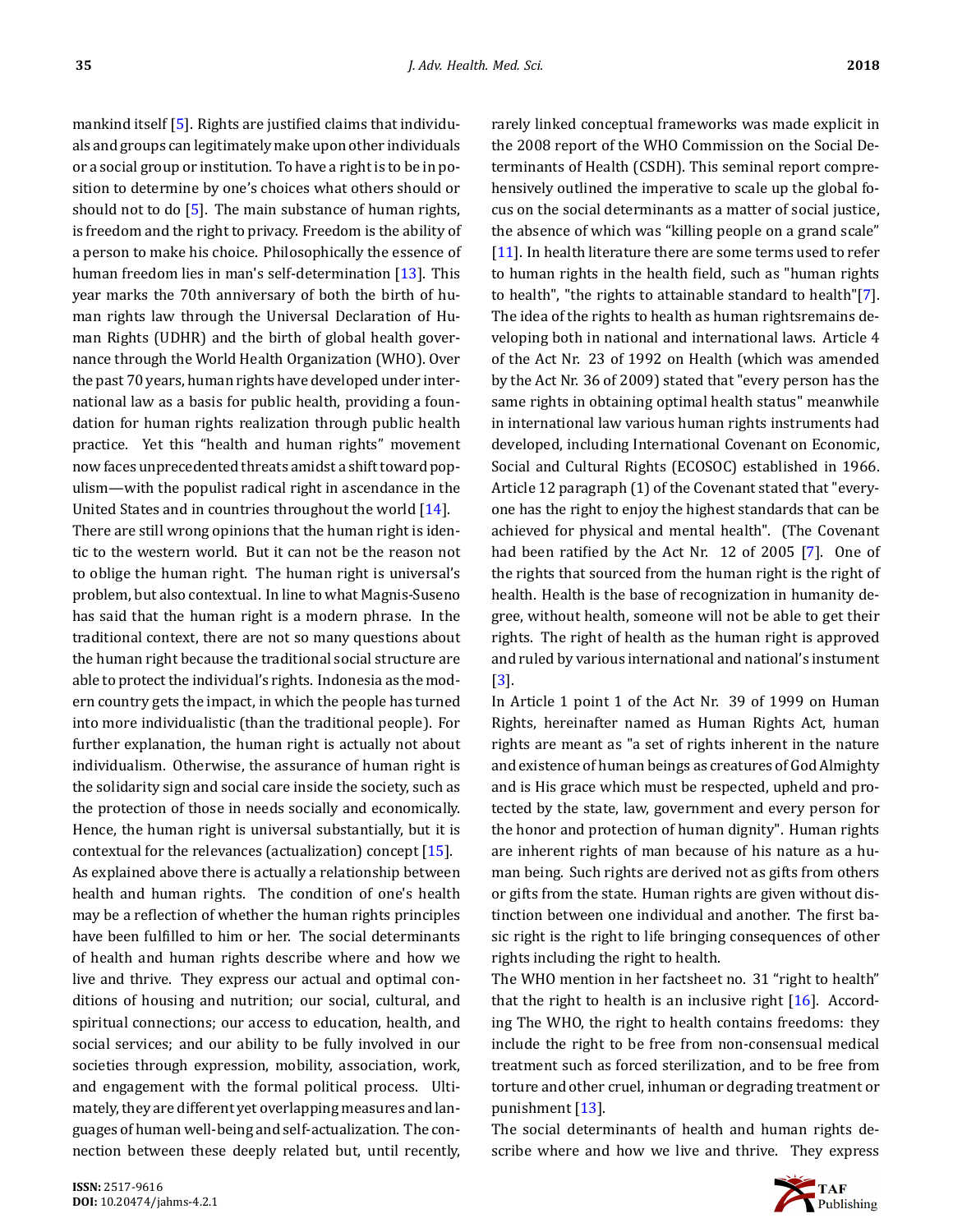mankind itself  $[5]$ . Rights are justified claims that individuals and groups can legitimately make upon other individuals or a social group or institution. To have a right is to be in position to determine by one's choices what others should or should not to do[[5](#page-10-4)]. The main substance of human rights, is freedom and the right to privacy. Freedom is the ability of a person to make his choice. Philosophically the essence of human freedom lies in man's self-determination [\[13](#page-10-12)]. This year marks the 70th anniversary of both the birth of human rights law through the Universal Declaration of Human Rights (UDHR) and the birth of global health governance through the World Health Organization (WHO). Over the past 70 years, human rights have developed under international law as a basis for public health, providing a foundation for human rights realization through public health practice. Yet this "health and human rights" movement now faces unprecedented threats amidst a shift toward populism—with the populist radical right in ascendance in the United States and in countries throughout the world [\[14](#page-10-13)].

There are still wrong opinions that the human right is identic to the western world. But it can not be the reason not to oblige the human right. The human right is universal's problem, but also contextual. In line to what Magnis-Suseno has said that the human right is a modern phrase. In the traditional context, there are not so many questions about the human right because the traditional social structure are able to protect the individual's rights. Indonesia as the modern country gets the impact, in which the people has turned into more individualistic (than the traditional people). For further explanation, the human right is actually not about individualism. Otherwise, the assurance of human right is the solidarity sign and social care inside the society, such as the protection of those in needs socially and economically. Hence, the human right is universal substantially, but it is contextual for the relevances (actualization) concept[[15\]](#page-10-14). As explained above there is actually a relationship between health and human rights. The condition of one's health may be a reflection of whether the human rights principles have been fulfilled to him or her. The social determinants of health and human rights describe where and how we live and thrive. They express our actual and optimal conditions of housing and nutrition; our social, cultural, and spiritual connections; our access to education, health, and social services; and our ability to be fully involved in our societies through expression, mobility, association, work, and engagement with the formal political process. Ultimately, they are different yet overlapping measures and languages of human well-being and self-actualization. The connection between these deeply related but, until recently, rarely linked conceptual frameworks was made explicit in the 2008 report of the WHO Commission on the Social Determinants of Health (CSDH). This seminal report comprehensively outlined the imperative to scale up the global focus on the social determinants as a matter of social justice, the absence of which was "killing people on a grand scale" [\[11](#page-10-10)]. In health literature there are some terms used to refer to human rights in the health field, such as "human rights to health", "the rights to attainable standard to health"[\[7\]](#page-10-6). The idea of the rights to health as human rightsremains developing both in national and international laws. Article 4 of the Act Nr. 23 of 1992 on Health (which was amended by the Act Nr. 36 of 2009) stated that "every person has the same rights in obtaining optimal health status" meanwhile in international law various human rights instruments had developed, including International Covenant on Economic, Social and Cultural Rights (ECOSOC) established in 1966. Article 12 paragraph (1) of the Covenant stated that "everyone has the right to enjoy the highest standards that can be achieved for physical and mental health". (The Covenant had been ratified by the Act Nr.  $12$  of 2005 [\[7\]](#page-10-6). One of the rights that sourced from the human right is the right of health. Health is the base of recognization in humanity degree, without health, someone will not be able to get their rights. The right of health as the human right is approved and ruled by various international and national's instument [\[3\]](#page-10-2).

In Article 1 point 1 of the Act Nr. 39 of 1999 on Human Rights, hereinafter named as Human Rights Act, human rights are meant as "a set of rights inherent in the nature and existence of human beings as creatures of God Almighty and is His grace which must be respected, upheld and protected by the state, law, government and every person for the honor and protection of human dignity". Human rights are inherent rights of man because of his nature as a human being. Such rights are derived not as gifts from others or gifts from the state. Human rights are given without distinction between one individual and another. The first basic right is the right to life bringing consequences of other rights including the right to health.

The WHO mention in her factsheet no. 31 "right to health" that the right to health is an inclusive right  $[16]$ . According The WHO, the right to health contains freedoms: they include the right to be free from non-consensual medical treatment such as forced sterilization, and to be free from torture and other cruel, inhuman or degrading treatment or punishment[[13\]](#page-10-12).

The social determinants of health and human rights describe where and how we live and thrive. They express

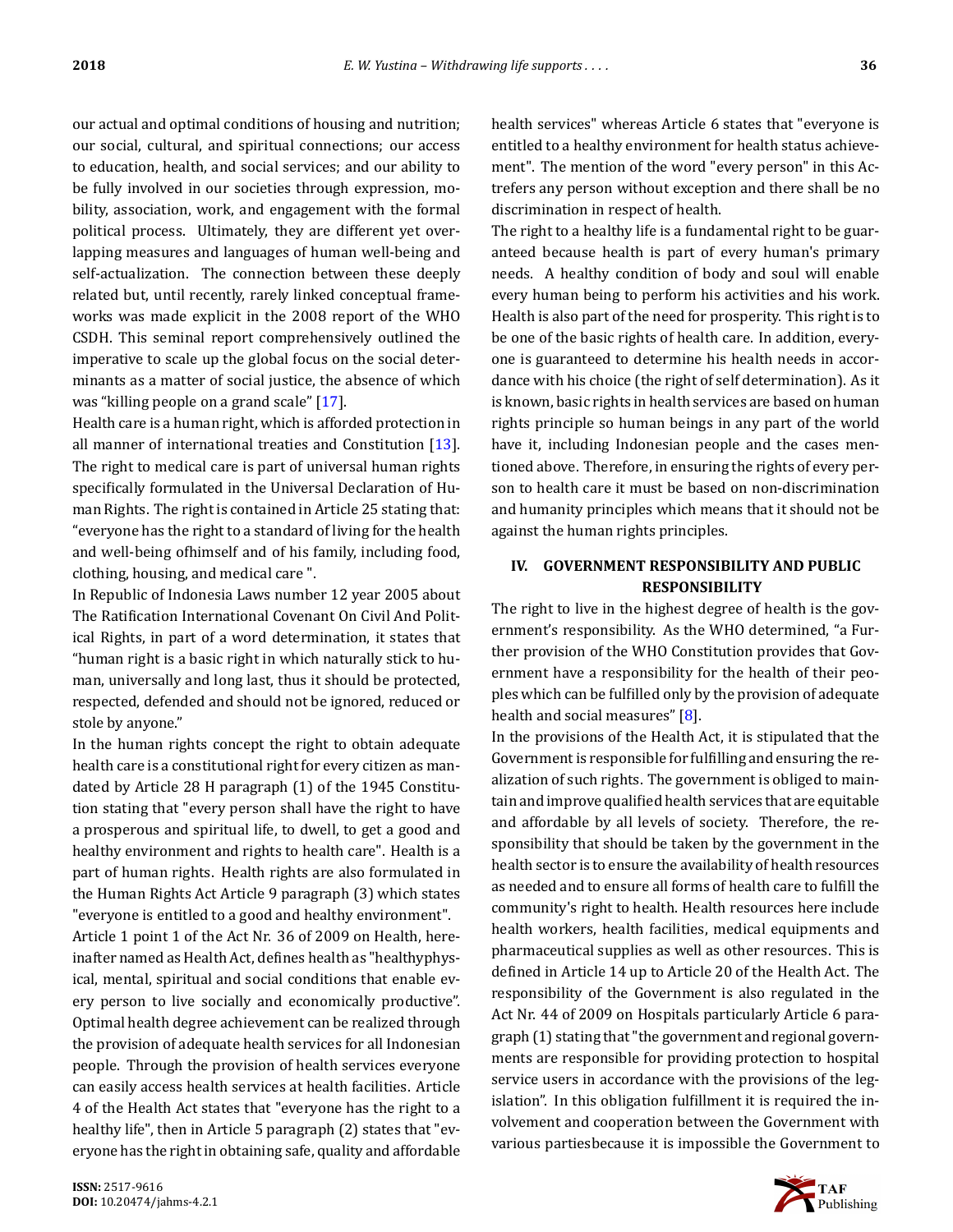our actual and optimal conditions of housing and nutrition; our social, cultural, and spiritual connections; our access to education, health, and social services; and our ability to be fully involved in our societies through expression, mobility, association, work, and engagement with the formal political process. Ultimately, they are different yet overlapping measures and languages of human well-being and self-actualization. The connection between these deeply related but, until recently, rarely linked conceptual frameworks was made explicit in the 2008 report of the WHO CSDH. This seminal report comprehensively outlined the imperative to scale up the global focus on the social determinants as a matter of social justice, the absence of which was "killing people on a grand scale"[[17\]](#page-10-16).

Health care is a human right, which is afforded protection in all manner of international treaties and Constitution [\[13\]](#page-10-12). The right to medical care is part of universal human rights specifically formulated in the Universal Declaration of Human Rights. The right is contained in Article 25 stating that: "everyone has the right to a standard of living for the health and well-being ofhimself and of his family, including food, clothing, housing, and medical care ".

In Republic of Indonesia Laws number 12 year 2005 about The Ratification International Covenant On Civil And Political Rights, in part of a word determination, it states that "human right is a basic right in which naturally stick to human, universally and long last, thus it should be protected, respected, defended and should not be ignored, reduced or stole by anyone."

In the human rights concept the right to obtain adequate health care is a constitutional right for every citizen as mandated by Article 28 H paragraph (1) of the 1945 Constitution stating that "every person shall have the right to have a prosperous and spiritual life, to dwell, to get a good and healthy environment and rights to health care". Health is a part of human rights. Health rights are also formulated in the Human Rights Act Article 9 paragraph (3) which states "everyone is entitled to a good and healthy environment".

Article 1 point 1 of the Act Nr. 36 of 2009 on Health, hereinafter named as Health Act, defines health as "healthyphysical, mental, spiritual and social conditions that enable every person to live socially and economically productive". Optimal health degree achievement can be realized through the provision of adequate health services for all Indonesian people. Through the provision of health services everyone can easily access health services at health facilities. Article 4 of the Health Act states that "everyone has the right to a healthy life", then in Article 5 paragraph (2) states that "everyone has the right in obtaining safe, quality and affordable health services" whereas Article 6 states that "everyone is entitled to a healthy environment for health status achievement". The mention of the word "every person" in this Actrefers any person without exception and there shall be no discrimination in respect of health.

The right to a healthy life is a fundamental right to be guaranteed because health is part of every human's primary needs. A healthy condition of body and soul will enable every human being to perform his activities and his work. Health is also part of the need for prosperity. This right is to be one of the basic rights of health care. In addition, everyone is guaranteed to determine his health needs in accordance with his choice (the right of self determination). As it is known, basic rights in health services are based on human rights principle so human beings in any part of the world have it, including Indonesian people and the cases mentioned above. Therefore, in ensuring the rights of every person to health care it must be based on non-discrimination and humanity principles which means that it should not be against the human rights principles.

### **IV. GOVERNMENT RESPONSIBILITY AND PUBLIC RESPONSIBILITY**

The right to live in the highest degree of health is the government's responsibility. As the WHO determined, "a Further provision of the WHO Constitution provides that Government have a responsibility for the health of their peoples which can be fulfilled only by the provision of adequate healthand social measures" [[8](#page-10-7)].

In the provisions of the Health Act, it is stipulated that the Government is responsible for fulfilling and ensuring the realization of such rights. The government is obliged to maintain and improve qualified health services that are equitable and affordable by all levels of society. Therefore, the responsibility that should be taken by the government in the health sector is to ensure the availability of health resources as needed and to ensure all forms of health care to fulfill the community's right to health. Health resources here include health workers, health facilities, medical equipments and pharmaceutical supplies as well as other resources. This is defined in Article 14 up to Article 20 of the Health Act. The responsibility of the Government is also regulated in the Act Nr. 44 of 2009 on Hospitals particularly Article 6 paragraph (1) stating that "the government and regional governments are responsible for providing protection to hospital service users in accordance with the provisions of the legislation". In this obligation fulfillment it is required the involvement and cooperation between the Government with various partiesbecause it is impossible the Government to

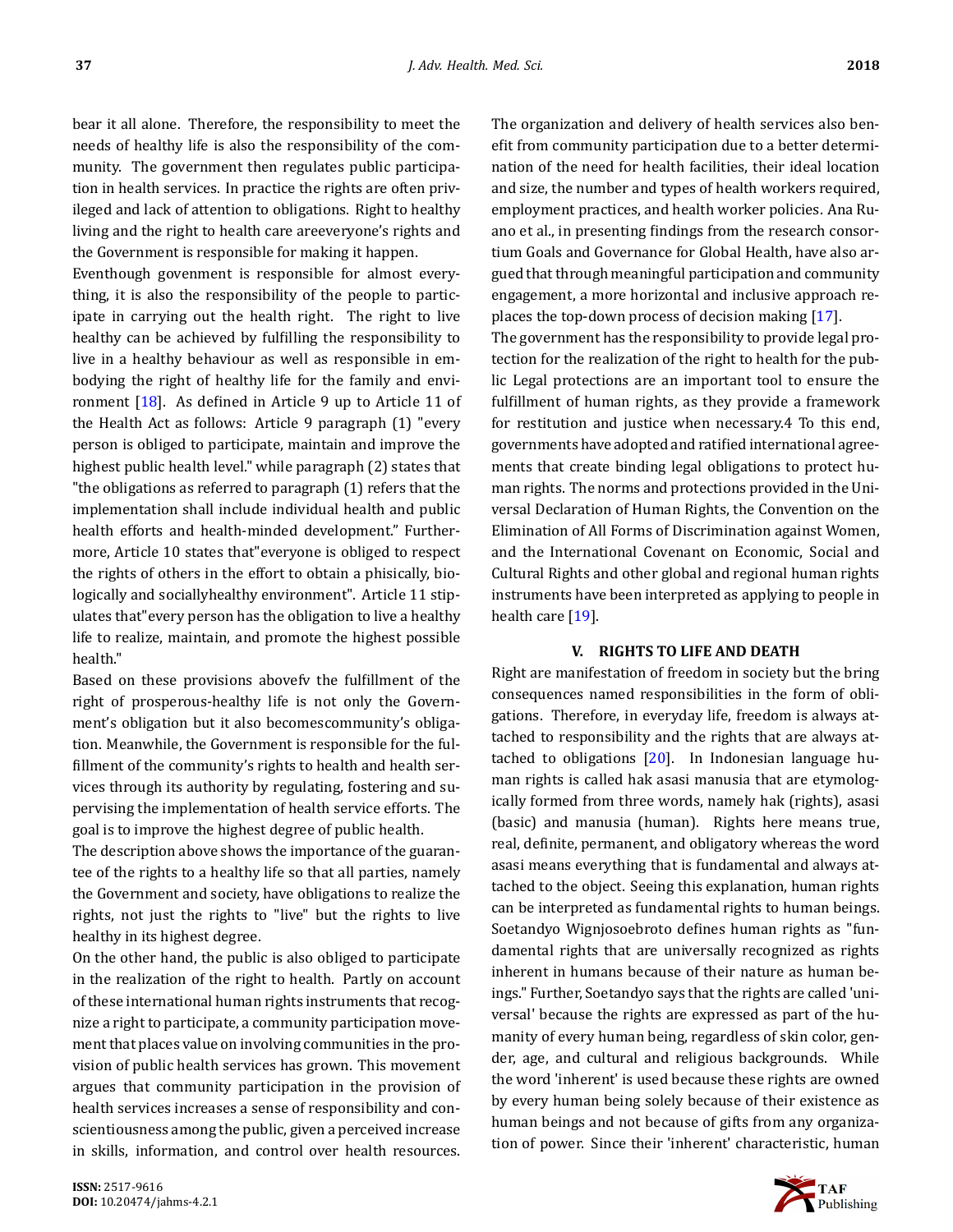bear it all alone. Therefore, the responsibility to meet the needs of healthy life is also the responsibility of the community. The government then regulates public participation in health services. In practice the rights are often privileged and lack of attention to obligations. Right to healthy living and the right to health care areeveryone's rights and the Government is responsible for making it happen.

Eventhough govenment is responsible for almost everything, it is also the responsibility of the people to participate in carrying out the health right. The right to live healthy can be achieved by fulfilling the responsibility to live in a healthy behaviour as well as responsible in embodying the right of healthy life for the family and environment  $[18]$ . As defined in Article 9 up to Article 11 of the Health Act as follows: Article 9 paragraph (1) "every person is obliged to participate, maintain and improve the highest public health level." while paragraph (2) states that "the obligations as referred to paragraph (1) refers that the implementation shall include individual health and public health efforts and health-minded development." Furthermore, Article 10 states that"everyone is obliged to respect the rights of others in the effort to obtain a phisically, biologically and sociallyhealthy environment". Article 11 stipulates that"every person has the obligation to live a healthy life to realize, maintain, and promote the highest possible health."

Based on these provisions abovefy the fulfillment of the right of prosperous-healthy life is not only the Government's obligation but it also becomescommunity's obligation. Meanwhile, the Government is responsible for the fulfillment of the community's rights to health and health services through its authority by regulating, fostering and supervising the implementation of health service efforts. The goal is to improve the highest degree of public health.

The description above shows the importance of the guarantee of the rights to a healthy life so that all parties, namely the Government and society, have obligations to realize the rights, not just the rights to "live" but the rights to live healthy in its highest degree.

On the other hand, the public is also obliged to participate in the realization of the right to health. Partly on account of these international human rights instruments that recognize a right to participate, a community participation movement that places value on involving communities in the provision of public health services has grown. This movement argues that community participation in the provision of health services increases a sense of responsibility and conscientiousness among the public, given a perceived increase in skills, information, and control over health resources. The organization and delivery of health services also benefit from community participation due to a better determination of the need for health facilities, their ideal location and size, the number and types of health workers required, employment practices, and health worker policies. Ana Ruano et al., in presenting findings from the research consortium Goals and Governance for Global Health, have also argued that through meaningful participation and community engagement, a more horizontal and inclusive approach replaces the top-down process of decision making[[17\]](#page-10-16). The government has the responsibility to provide legal protection for the realization of the right to health for the public Legal protections are an important tool to ensure the fulfillment of human rights, as they provide a framework for restitution and justice when necessary.4 To this end, governments have adopted and ratified international agreements that create binding legal obligations to protect human rights. The norms and protections provided in the Universal Declaration of Human Rights, the Convention on the Elimination of All Forms of Discrimination against Women, and the International Covenant on Economic, Social and

Cultural Rights and other global and regional human rights instruments have been interpreted as applying to people in healthcare [[19\]](#page-10-18).

#### **V. RIGHTS TO LIFE AND DEATH**

Right are manifestation of freedom in society but the bring consequences named responsibilities in the form of obligations. Therefore, in everyday life, freedom is always attached to responsibility and the rights that are always attached to obligations [\[20](#page-10-19)]. In Indonesian language human rights is called hak asasi manusia that are etymologically formed from three words, namely hak (rights), asasi (basic) and manusia (human). Rights here means true, real, definite, permanent, and obligatory whereas the word asasi means everything that is fundamental and always attached to the object. Seeing this explanation, human rights can be interpreted as fundamental rights to human beings. Soetandyo Wignjosoebroto defines human rights as "fundamental rights that are universally recognized as rights inherent in humans because of their nature as human beings." Further, Soetandyo says that the rights are called 'universal' because the rights are expressed as part of the humanity of every human being, regardless of skin color, gender, age, and cultural and religious backgrounds. While the word 'inherent' is used because these rights are owned by every human being solely because of their existence as human beings and not because of gifts from any organization of power. Since their 'inherent' characteristic, human

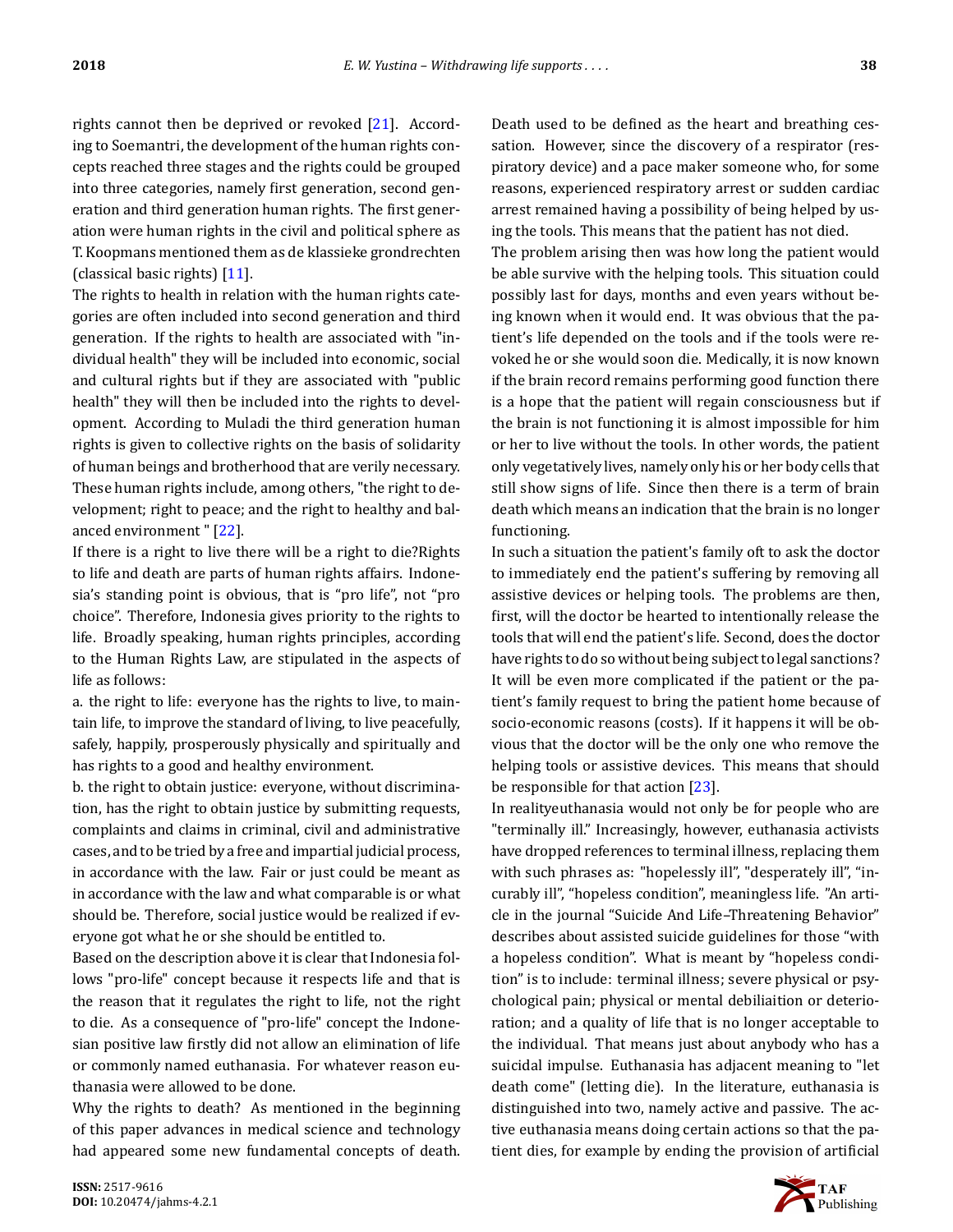rights cannot then be deprived or revoked[[21\]](#page-10-20). According to Soemantri, the development of the human rights concepts reached three stages and the rights could be grouped into three categories, namely first generation, second generation and third generation human rights. The first generation were human rights in the civil and political sphere as T. Koopmans mentioned them as de klassieke grondrechten (classical basic rights) [\[11](#page-10-10)].

The rights to health in relation with the human rights categories are often included into second generation and third generation. If the rights to health are associated with "individual health" they will be included into economic, social and cultural rights but if they are associated with "public health" they will then be included into the rights to development. According to Muladi the third generation human rights is given to collective rights on the basis of solidarity of human beings and brotherhood that are verily necessary. These human rights include, among others, "the right to development; right to peace; and the right to healthy and balanced environment "[[22\]](#page-10-21).

If there is a right to live there will be a right to die?Rights to life and death are parts of human rights affairs. Indonesia's standing point is obvious, that is "pro life", not "pro choice". Therefore, Indonesia gives priority to the rights to life. Broadly speaking, human rights principles, according to the Human Rights Law, are stipulated in the aspects of life as follows:

a. the right to life: everyone has the rights to live, to maintain life, to improve the standard of living, to live peacefully, safely, happily, prosperously physically and spiritually and has rights to a good and healthy environment.

b. the right to obtain justice: everyone, without discrimination, has the right to obtain justice by submitting requests, complaints and claims in criminal, civil and administrative cases, and to be tried by a free and impartial judicial process, in accordance with the law. Fair or just could be meant as in accordance with the law and what comparable is or what should be. Therefore, social justice would be realized if everyone got what he or she should be entitled to.

Based on the description above it is clear that Indonesia follows "pro-life" concept because it respects life and that is the reason that it regulates the right to life, not the right to die. As a consequence of "pro-life" concept the Indonesian positive law firstly did not allow an elimination of life or commonly named euthanasia. For whatever reason euthanasia were allowed to be done.

Why the rights to death? As mentioned in the beginning of this paper advances in medical science and technology had appeared some new fundamental concepts of death. Death used to be defined as the heart and breathing cessation. However, since the discovery of a respirator (respiratory device) and a pace maker someone who, for some reasons, experienced respiratory arrest or sudden cardiac arrest remained having a possibility of being helped by using the tools. This means that the patient has not died.

The problem arising then was how long the patient would be able survive with the helping tools. This situation could possibly last for days, months and even years without being known when it would end. It was obvious that the patient's life depended on the tools and if the tools were revoked he or she would soon die. Medically, it is now known if the brain record remains performing good function there is a hope that the patient will regain consciousness but if the brain is not functioning it is almost impossible for him or her to live without the tools. In other words, the patient only vegetatively lives, namely only his or her body cells that still show signs of life. Since then there is a term of brain death which means an indication that the brain is no longer functioning.

In such a situation the patient's family oft to ask the doctor to immediately end the patient's suffering by removing all assistive devices or helping tools. The problems are then, first, will the doctor be hearted to intentionally release the tools that will end the patient's life. Second, does the doctor have rights to do so without being subject to legal sanctions? It will be even more complicated if the patient or the patient's family request to bring the patient home because of socio-economic reasons (costs). If it happens it will be obvious that the doctor will be the only one who remove the helping tools or assistive devices. This means that should be responsible for that action[[23\]](#page-10-22).

In realityeuthanasia would not only be for people who are "terminally ill." Increasingly, however, euthanasia activists have dropped references to terminal illness, replacing them with such phrases as: "hopelessly ill", "desperately ill", "incurably ill", "hopeless condition", meaningless life. "An article in the journal "Suicide And Life–Threatening Behavior" describes about assisted suicide guidelines for those "with a hopeless condition". What is meant by "hopeless condition" is to include: terminal illness; severe physical or psychological pain; physical or mental debiliaition or deterioration; and a quality of life that is no longer acceptable to the individual. That means just about anybody who has a suicidal impulse. Euthanasia has adjacent meaning to "let death come" (letting die). In the literature, euthanasia is distinguished into two, namely active and passive. The active euthanasia means doing certain actions so that the patient dies, for example by ending the provision of artificial

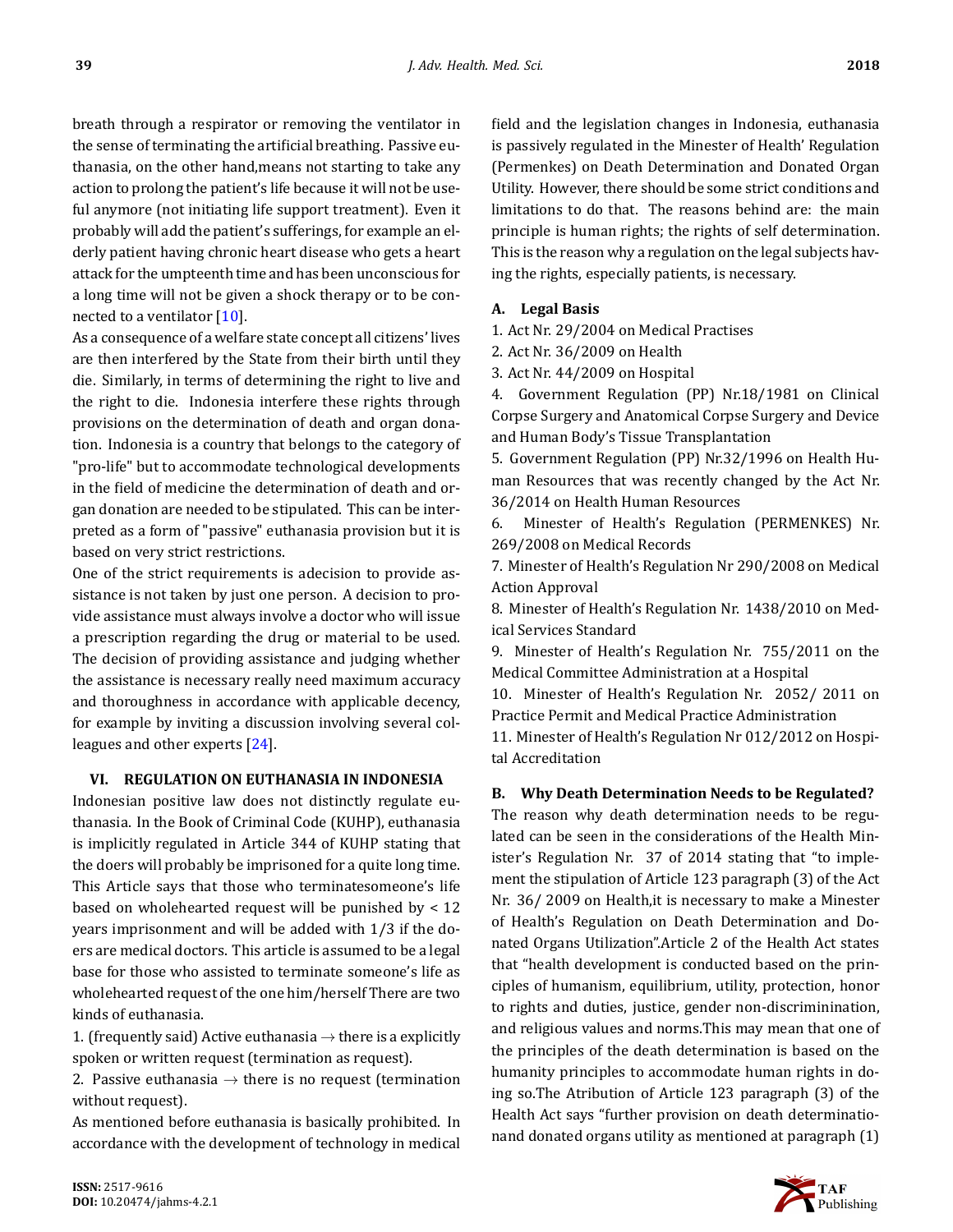breath through a respirator or removing the ventilator in the sense of terminating the artificial breathing. Passive euthanasia, on the other hand,means not starting to take any action to prolong the patient's life because it will not be useful anymore (not initiating life support treatment). Even it probably will add the patient's sufferings, for example an elderly patient having chronic heart disease who gets a heart attack for the umpteenth time and has been unconscious for a long time will not be given a shock therapy or to be connected to a ventilator [\[10](#page-10-9)].

As a consequence of a welfare state concept all citizens' lives are then interfered by the State from their birth until they die. Similarly, in terms of determining the right to live and the right to die. Indonesia interfere these rights through provisions on the determination of death and organ donation. Indonesia is a country that belongs to the category of "pro-life" but to accommodate technological developments in the field of medicine the determination of death and organ donation are needed to be stipulated. This can be interpreted as a form of "passive" euthanasia provision but it is based on very strict restrictions.

One of the strict requirements is adecision to provide assistance is not taken by just one person. A decision to provide assistance must always involve a doctor who will issue a prescription regarding the drug or material to be used. The decision of providing assistance and judging whether the assistance is necessary really need maximum accuracy and thoroughness in accordance with applicable decency, for example by inviting a discussion involving several colleagues and other experts[[24\]](#page-10-23).

#### **VI. REGULATION ON EUTHANASIA IN INDONESIA**

Indonesian positive law does not distinctly regulate euthanasia. In the Book of Criminal Code (KUHP), euthanasia is implicitly regulated in Article 344 of KUHP stating that the doers will probably be imprisoned for a quite long time. This Article says that those who terminatesomeone's life based on wholehearted request will be punished by < 12 years imprisonment and will be added with 1/3 if the doers are medical doctors. This article is assumed to be a legal base for those who assisted to terminate someone's life as wholehearted request of the one him/herself There are two kinds of euthanasia.

1. (frequently said) Active euthanasia *→* there is a explicitly spoken or written request (termination as request).

2. Passive euthanasia *→* there is no request (termination without request).

As mentioned before euthanasia is basically prohibited. In accordance with the development of technology in medical field and the legislation changes in Indonesia, euthanasia is passively regulated in the Minester of Health' Regulation (Permenkes) on Death Determination and Donated Organ Utility. However, there should be some strict conditions and limitations to do that. The reasons behind are: the main principle is human rights; the rights of self determination. This is the reason why a regulation on the legal subjects having the rights, especially patients, is necessary.

#### **A. Legal Basis**

1. Act Nr. 29/2004 on Medical Practises

2. Act Nr. 36/2009 on Health

3. Act Nr. 44/2009 on Hospital

4. Government Regulation (PP) Nr.18/1981 on Clinical Corpse Surgery and Anatomical Corpse Surgery and Device and Human Body's Tissue Transplantation

5. Government Regulation (PP) Nr.32/1996 on Health Human Resources that was recently changed by the Act Nr. 36/2014 on Health Human Resources

6. Minester of Health's Regulation (PERMENKES) Nr. 269/2008 on Medical Records

7. Minester of Health's Regulation Nr 290/2008 on Medical Action Approval

8. Minester of Health's Regulation Nr. 1438/2010 on Medical Services Standard

9. Minester of Health's Regulation Nr. 755/2011 on the Medical Committee Administration at a Hospital

10. Minester of Health's Regulation Nr. 2052/ 2011 on Practice Permit and Medical Practice Administration

11. Minester of Health's Regulation Nr 012/2012 on Hospital Accreditation

#### **B. Why Death Determination Needs to be Regulated?**

The reason why death determination needs to be regulated can be seen in the considerations of the Health Minister's Regulation Nr. 37 of 2014 stating that "to implement the stipulation of Article 123 paragraph (3) of the Act Nr. 36/ 2009 on Health,it is necessary to make a Minester of Health's Regulation on Death Determination and Donated Organs Utilization".Article 2 of the Health Act states that "health development is conducted based on the principles of humanism, equilibrium, utility, protection, honor to rights and duties, justice, gender non-discriminination, and religious values and norms.This may mean that one of the principles of the death determination is based on the humanity principles to accommodate human rights in doing so.The Atribution of Article 123 paragraph (3) of the Health Act says "further provision on death determinationand donated organs utility as mentioned at paragraph (1)

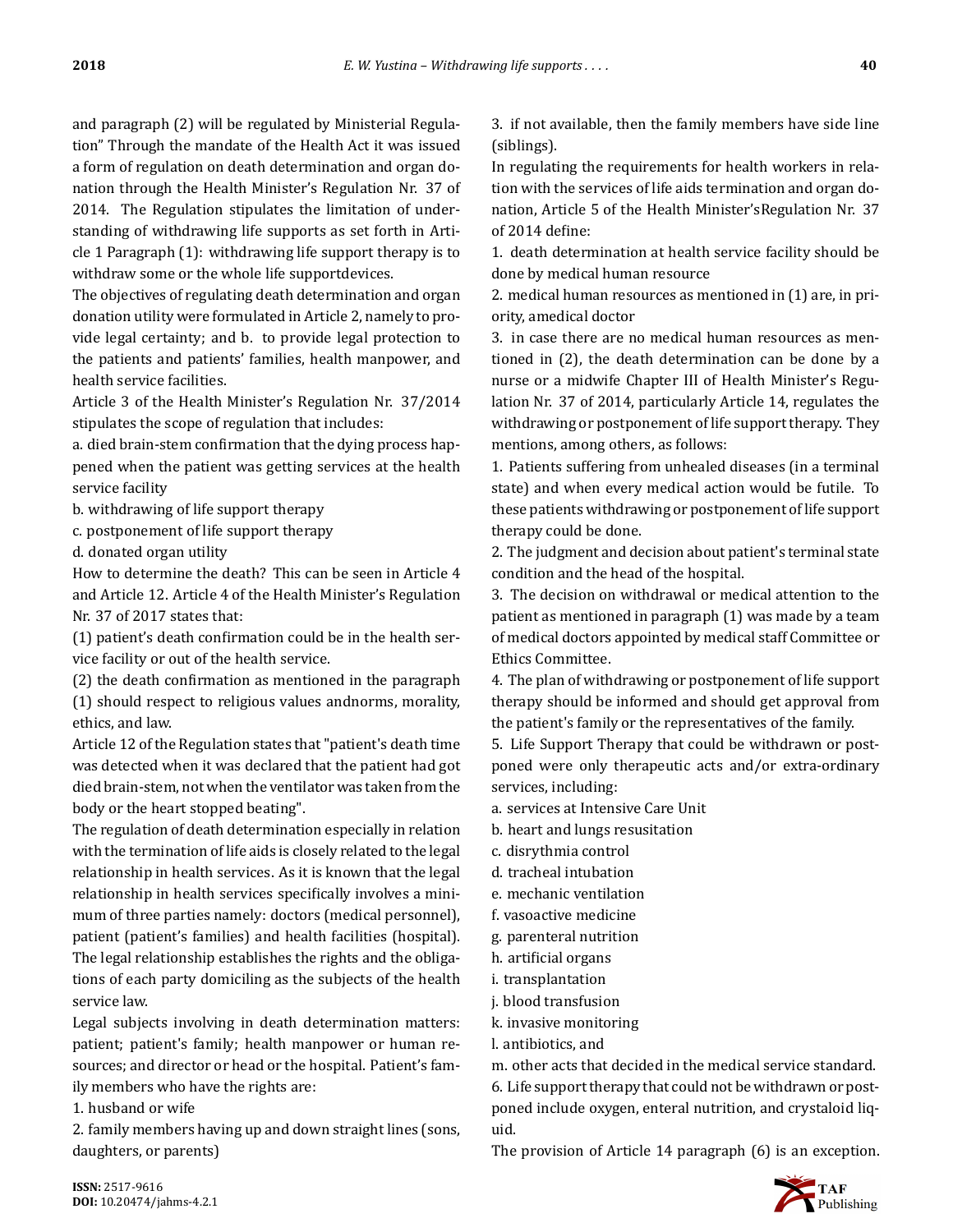and paragraph (2) will be regulated by Ministerial Regulation" Through the mandate of the Health Act it was issued a form of regulation on death determination and organ donation through the Health Minister's Regulation Nr. 37 of 2014. The Regulation stipulates the limitation of understanding of withdrawing life supports as set forth in Article 1 Paragraph (1): withdrawing life support therapy is to withdraw some or the whole life supportdevices.

The objectives of regulating death determination and organ donation utility were formulated in Article 2, namely to provide legal certainty; and b. to provide legal protection to the patients and patients' families, health manpower, and health service facilities.

Article 3 of the Health Minister's Regulation Nr. 37/2014 stipulates the scope of regulation that includes:

a. died brain-stem confirmation that the dying process happened when the patient was getting services at the health service facility

b. withdrawing of life support therapy

c. postponement of life support therapy

d. donated organ utility

How to determine the death? This can be seen in Article 4 and Article 12. Article 4 of the Health Minister's Regulation Nr. 37 of 2017 states that:

 $(1)$  patient's death confirmation could be in the health service facility or out of the health service.

 $(2)$  the death confirmation as mentioned in the paragraph (1) should respect to religious values andnorms, morality, ethics, and law.

Article 12 of the Regulation states that "patient's death time was detected when it was declared that the patient had got died brain-stem, not when the ventilator was taken from the body or the heart stopped beating".

The regulation of death determination especially in relation with the termination of life aids is closely related to the legal relationship in health services. As it is known that the legal relationship in health services specifically involves a minimum of three parties namely: doctors (medical personnel), patient (patient's families) and health facilities (hospital). The legal relationship establishes the rights and the obligations of each party domiciling as the subjects of the health service law.

Legal subjects involving in death determination matters: patient; patient's family; health manpower or human resources; and director or head or the hospital. Patient's family members who have the rights are:

1. husband or wife

2. family members having up and down straight lines (sons, daughters, or parents)

3. if not available, then the family members have side line (siblings).

In regulating the requirements for health workers in relation with the services of life aids termination and organ donation, Article 5 of the Health Minister'sRegulation Nr. 37 of 2014 define:

1. death determination at health service facility should be done by medical human resource

2. medical human resources as mentioned in (1) are, in priority, amedical doctor

3. in case there are no medical human resources as mentioned in (2), the death determination can be done by a nurse or a midwife Chapter III of Health Minister's Regulation Nr. 37 of 2014, particularly Article 14, regulates the withdrawing or postponement of life support therapy. They mentions, among others, as follows:

1. Patients suffering from unhealed diseases (in a terminal state) and when every medical action would be futile. To these patients withdrawing or postponement of life support therapy could be done.

2. The judgment and decision about patient's terminal state condition and the head of the hospital.

3. The decision on withdrawal or medical attention to the patient as mentioned in paragraph (1) was made by a team of medical doctors appointed by medical staff Committee or Ethics Committee.

4. The plan of withdrawing or postponement of life support therapy should be informed and should get approval from the patient's family or the representatives of the family.

5. Life Support Therapy that could be withdrawn or postponed were only therapeutic acts and/or extra-ordinary services, including:

- a. services at Intensive Care Unit
- b. heart and lungs resusitation
- c. disrythmia control
- d. tracheal intubation
- e. mechanic ventilation
- f. vasoactive medicine
- g. parenteral nutrition
- h. artificial organs
- i. transplantation
- j. blood transfusion
- k. invasive monitoring
- l. antibiotics, and

m. other acts that decided in the medical service standard. 6. Life support therapy that could not be withdrawn or postponed include oxygen, enteral nutrition, and crystaloid liquid.

The provision of Article 14 paragraph (6) is an exception.

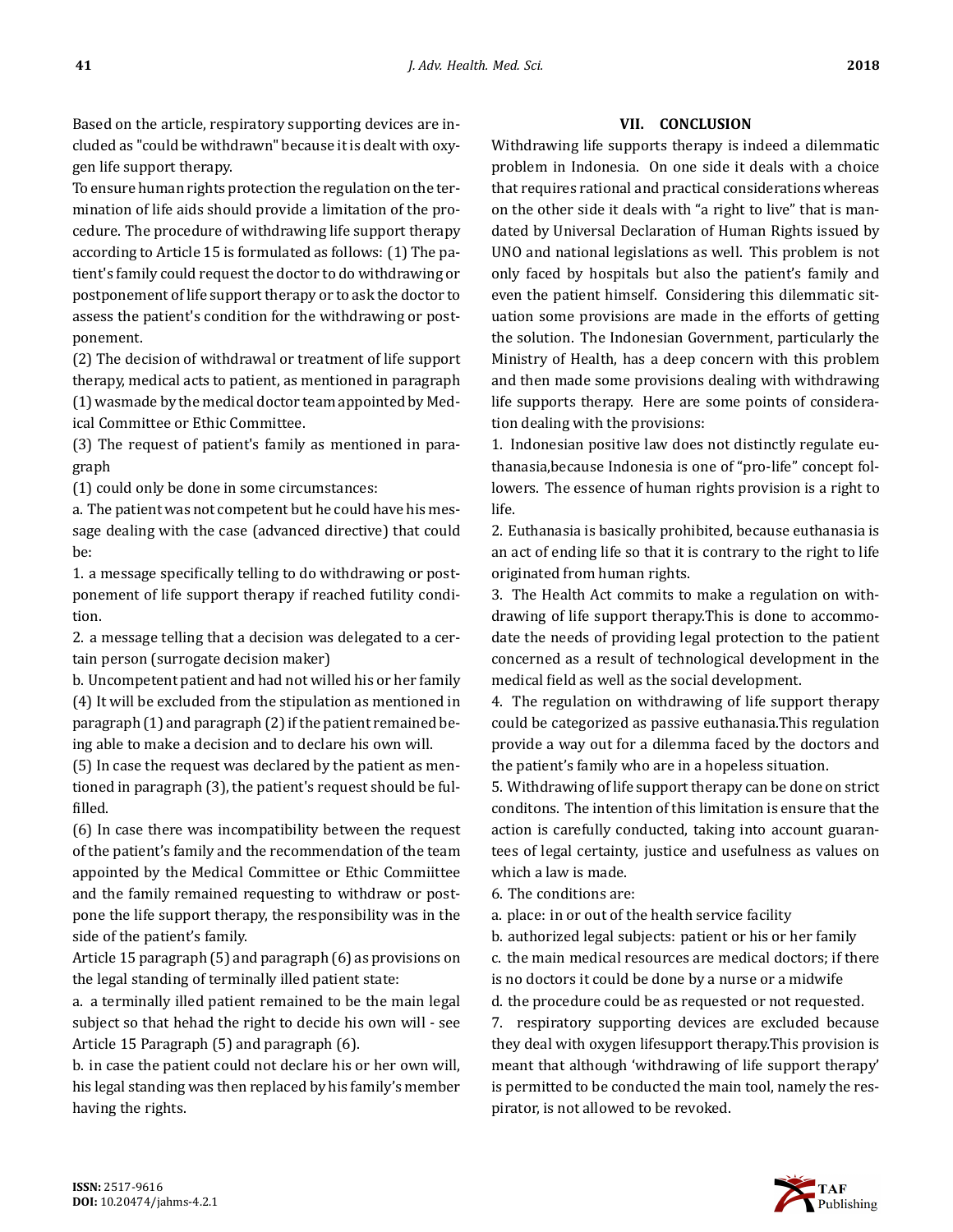Based on the article, respiratory supporting devices are included as "could be withdrawn" because it is dealt with oxygen life support therapy.

To ensure human rights protection the regulation on the termination of life aids should provide a limitation of the procedure. The procedure of withdrawing life support therapy according to Article 15 is formulated as follows: (1) The patient's family could request the doctor to do withdrawing or postponement of life support therapy or to ask the doctor to assess the patient's condition for the withdrawing or postponement.

(2) The decision of withdrawal or treatment of life support therapy, medical acts to patient, as mentioned in paragraph (1) wasmade by the medical doctor team appointed by Medical Committee or Ethic Committee.

(3) The request of patient's family as mentioned in paragraph

(1) could only be done in some circumstances:

a. The patient was not competent but he could have his message dealing with the case (advanced directive) that could be:

1. a message specifically telling to do withdrawing or postponement of life support therapy if reached futility condition.

2. a message telling that a decision was delegated to a certain person (surrogate decision maker)

b. Uncompetent patient and had not willed his or her family (4) It will be excluded from the stipulation as mentioned in paragraph (1) and paragraph (2) if the patient remained being able to make a decision and to declare his own will.

(5) In case the request was declared by the patient as mentioned in paragraph (3), the patient's request should be fulfilled.

(6) In case there was incompatibility between the request of the patient's family and the recommendation of the team appointed by the Medical Committee or Ethic Commiittee and the family remained requesting to withdraw or postpone the life support therapy, the responsibility was in the side of the patient's family.

Article 15 paragraph (5) and paragraph (6) as provisions on the legal standing of terminally illed patient state:

a. a terminally illed patient remained to be the main legal subject so that hehad the right to decide his own will - see Article 15 Paragraph (5) and paragraph (6).

b. in case the patient could not declare his or her own will, his legal standing was then replaced by his family's member having the rights.

#### **VII. CONCLUSION**

Withdrawing life supports therapy is indeed a dilemmatic problem in Indonesia. On one side it deals with a choice that requires rational and practical considerations whereas on the other side it deals with "a right to live" that is mandated by Universal Declaration of Human Rights issued by UNO and national legislations as well. This problem is not only faced by hospitals but also the patient's family and even the patient himself. Considering this dilemmatic situation some provisions are made in the efforts of getting the solution. The Indonesian Government, particularly the Ministry of Health, has a deep concern with this problem and then made some provisions dealing with withdrawing life supports therapy. Here are some points of consideration dealing with the provisions:

1. Indonesian positive law does not distinctly regulate euthanasia,because Indonesia is one of "pro-life" concept followers. The essence of human rights provision is a right to life.

2. Euthanasia is basically prohibited, because euthanasia is an act of ending life so that it is contrary to the right to life originated from human rights.

3. The Health Act commits to make a regulation on withdrawing of life support therapy.This is done to accommodate the needs of providing legal protection to the patient concerned as a result of technological development in the medical field as well as the social development.

4. The regulation on withdrawing of life support therapy could be categorized as passive euthanasia.This regulation provide a way out for a dilemma faced by the doctors and the patient's family who are in a hopeless situation.

5. Withdrawing of life support therapy can be done on strict conditons. The intention of this limitation is ensure that the action is carefully conducted, taking into account guarantees of legal certainty, justice and usefulness as values on which a law is made.

6. The conditions are:

a. place: in or out of the health service facility

b. authorized legal subjects: patient or his or her family

c. the main medical resources are medical doctors; if there is no doctors it could be done by a nurse or a midwife

d. the procedure could be as requested or not requested.

7. respiratory supporting devices are excluded because they deal with oxygen lifesupport therapy.This provision is meant that although 'withdrawing of life support therapy' is permitted to be conducted the main tool, namely the respirator, is not allowed to be revoked.